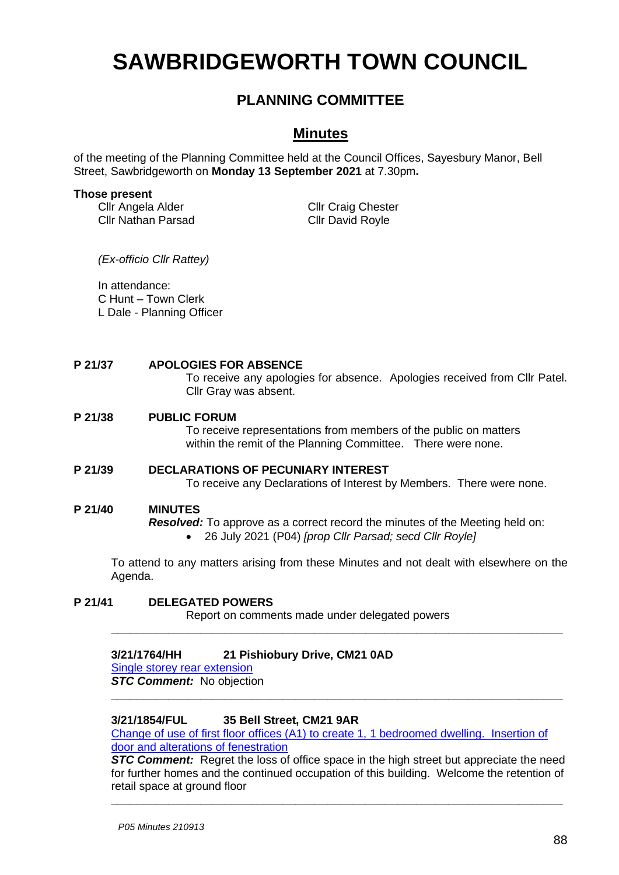# **SAWBRIDGEWORTH TOWN COUNCIL**

# **PLANNING COMMITTEE**

# **Minutes**

of the meeting of the Planning Committee held at the Council Offices, Sayesbury Manor, Bell Street, Sawbridgeworth on **Monday 13 September 2021** at 7.30pm**.**

#### **Those present**

Cllr Angela Alder Cllr Nathan Parsad Cllr Craig Chester Cllr David Royle

*(Ex-officio Cllr Rattey)*

In attendance: C Hunt – Town Clerk L Dale - Planning Officer

#### **P 21/37 APOLOGIES FOR ABSENCE**

To receive any apologies for absence. Apologies received from Cllr Patel. Cllr Gray was absent.

#### **P 21/38 PUBLIC FORUM**

To receive representations from members of the public on matters within the remit of the Planning Committee. There were none.

#### **P 21/39 DECLARATIONS OF PECUNIARY INTEREST** To receive any Declarations of Interest by Members. There were none.

#### **P 21/40 MINUTES**

*Resolved:* To approve as a correct record the minutes of the Meeting held on:

• 26 July 2021 (P04) *[prop Cllr Parsad; secd Cllr Royle]*

To attend to any matters arising from these Minutes and not dealt with elsewhere on the Agenda.

**\_\_\_\_\_\_\_\_\_\_\_\_\_\_\_\_\_\_\_\_\_\_\_\_\_\_\_\_\_\_\_\_\_\_\_\_\_\_\_\_\_\_\_\_\_\_\_\_\_\_\_\_\_\_\_\_\_\_\_\_\_\_\_\_\_\_\_\_\_\_\_**

**\_\_\_\_\_\_\_\_\_\_\_\_\_\_\_\_\_\_\_\_\_\_\_\_\_\_\_\_\_\_\_\_\_\_\_\_\_\_\_\_\_\_\_\_\_\_\_\_\_\_\_\_\_\_\_\_\_\_\_\_\_\_\_\_\_\_\_\_\_\_\_**

## **P 21/41 DELEGATED POWERS**

Report on comments made under delegated powers

#### **3/21/1764/HH 21 Pishiobury Drive, CM21 0AD**

[Single storey rear extension](https://publicaccess.eastherts.gov.uk/online-applications/applicationDetails.do?activeTab=documents&keyVal=QVRHP0GL00X00) **STC Comment:** No objection

#### **3/21/1854/FUL 35 Bell Street, CM21 9AR**

[Change of use of first floor offices \(A1\) to create 1, 1 bedroomed dwelling. Insertion of](https://publicaccess.eastherts.gov.uk/online-applications/applicationDetails.do?activeTab=documents&keyVal=QW68WEGLG1G00)  [door and alterations of fenestration](https://publicaccess.eastherts.gov.uk/online-applications/applicationDetails.do?activeTab=documents&keyVal=QW68WEGLG1G00)

**STC Comment:** Regret the loss of office space in the high street but appreciate the need for further homes and the continued occupation of this building. Welcome the retention of retail space at ground floor

**\_\_\_\_\_\_\_\_\_\_\_\_\_\_\_\_\_\_\_\_\_\_\_\_\_\_\_\_\_\_\_\_\_\_\_\_\_\_\_\_\_\_\_\_\_\_\_\_\_\_\_\_\_\_\_\_\_\_\_\_\_\_\_\_\_\_\_\_\_\_\_**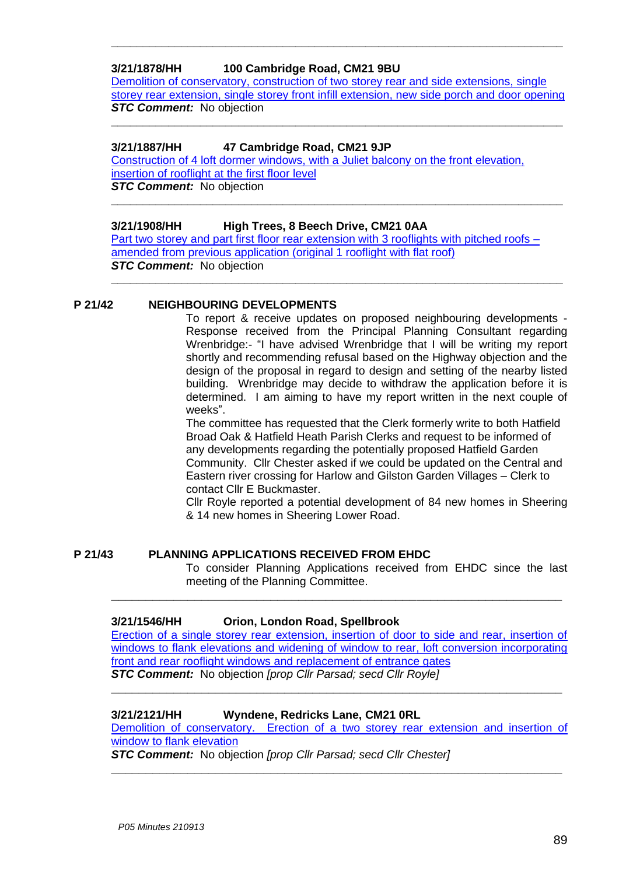### **3/21/1878/HH 100 Cambridge Road, CM21 9BU**

[Demolition of conservatory, construction of two storey rear and side extensions, single](https://publicaccess.eastherts.gov.uk/online-applications/applicationDetails.do?activeTab=documents&keyVal=QWA9AHGLG3300)  [storey rear extension, single storey front infill extension, new side porch and door opening](https://publicaccess.eastherts.gov.uk/online-applications/applicationDetails.do?activeTab=documents&keyVal=QWA9AHGLG3300) **STC Comment:** No objection **\_\_\_\_\_\_\_\_\_\_\_\_\_\_\_\_\_\_\_\_\_\_\_\_\_\_\_\_\_\_\_\_\_\_\_\_\_\_\_\_\_\_\_\_\_\_\_\_\_\_\_\_\_\_\_\_\_\_\_\_\_\_\_\_\_\_\_\_\_\_\_**

**\_\_\_\_\_\_\_\_\_\_\_\_\_\_\_\_\_\_\_\_\_\_\_\_\_\_\_\_\_\_\_\_\_\_\_\_\_\_\_\_\_\_\_\_\_\_\_\_\_\_\_\_\_\_\_\_\_\_\_\_\_\_\_\_\_\_\_\_\_\_\_**

#### **3/21/1887/HH 47 Cambridge Road, CM21 9JP**

Construction [of 4 loft dormer windows, with a Juliet balcony on the front elevation,](https://publicaccess.eastherts.gov.uk/online-applications/applicationDetails.do?activeTab=documents&keyVal=QWBSSBGLG3M00)  [insertion of rooflight at the first floor level](https://publicaccess.eastherts.gov.uk/online-applications/applicationDetails.do?activeTab=documents&keyVal=QWBSSBGLG3M00) *STC Comment:* No objection

#### **3/21/1908/HH High Trees, 8 Beech Drive, CM21 0AA**

Part two storey and part first floor rear extension with  $3$  rooflights with pitched roofs – [amended from previous application \(original 1 rooflight with flat roof\)](https://publicaccess.eastherts.gov.uk/online-applications/applicationDetails.do?keyVal=QWHNZHGLG5000&activeTab=summary) **STC Comment:** No objection

**\_\_\_\_\_\_\_\_\_\_\_\_\_\_\_\_\_\_\_\_\_\_\_\_\_\_\_\_\_\_\_\_\_\_\_\_\_\_\_\_\_\_\_\_\_\_\_\_\_\_\_\_\_\_\_\_\_\_\_\_\_\_\_\_\_\_\_\_\_\_\_**

**\_\_\_\_\_\_\_\_\_\_\_\_\_\_\_\_\_\_\_\_\_\_\_\_\_\_\_\_\_\_\_\_\_\_\_\_\_\_\_\_\_\_\_\_\_\_\_\_\_\_\_\_\_\_\_\_\_\_\_\_\_\_\_\_\_\_\_\_\_\_\_**

#### **P 21/42 NEIGHBOURING DEVELOPMENTS**

To report & receive updates on proposed neighbouring developments - Response received from the Principal Planning Consultant regarding Wrenbridge:- "I have advised Wrenbridge that I will be writing my report shortly and recommending refusal based on the Highway objection and the design of the proposal in regard to design and setting of the nearby listed building. Wrenbridge may decide to withdraw the application before it is determined. I am aiming to have my report written in the next couple of weeks".

The committee has requested that the Clerk formerly write to both Hatfield Broad Oak & Hatfield Heath Parish Clerks and request to be informed of any developments regarding the potentially proposed Hatfield Garden Community. Cllr Chester asked if we could be updated on the Central and Eastern river crossing for Harlow and Gilston Garden Villages – Clerk to contact Cllr E Buckmaster.

Cllr Royle reported a potential development of 84 new homes in Sheering & 14 new homes in Sheering Lower Road.

#### **P 21/43 PLANNING APPLICATIONS RECEIVED FROM EHDC**

To consider Planning Applications received from EHDC since the last meeting of the Planning Committee.

#### **3/21/1546/HH Orion, London Road, Spellbrook**

Erection of [a single storey rear extension, insertion of door to side and rear, insertion of](https://publicaccess.eastherts.gov.uk/online-applications/applicationDetails.do?activeTab=documents&keyVal=QUHFZFGLFG300)  windows to flank elevations and widening of window to rear, loft conversion incorporating [front and rear rooflight windows and replacement of entrance gates](https://publicaccess.eastherts.gov.uk/online-applications/applicationDetails.do?activeTab=documents&keyVal=QUHFZFGLFG300) *STC Comment:* No objection *[prop Cllr Parsad; secd Cllr Royle]*

**\_\_\_\_\_\_\_\_\_\_\_\_\_\_\_\_\_\_\_\_\_\_\_\_\_\_\_\_\_\_\_\_\_\_\_\_\_\_\_\_\_\_\_\_\_\_\_\_\_\_\_\_\_\_\_\_\_\_\_\_\_\_\_\_\_**

**\_\_\_\_\_\_\_\_\_\_\_\_\_\_\_\_\_\_\_\_\_\_\_\_\_\_\_\_\_\_\_\_\_\_\_\_\_\_\_\_\_\_\_\_\_\_\_\_\_\_\_\_\_\_\_\_\_\_\_\_\_\_\_\_\_**

#### **3/21/2121/HH Wyndene, Redricks Lane, CM21 0RL**

[Demolition of conservatory. Erection of a two storey rear extension and insertion of](https://publicaccess.eastherts.gov.uk/online-applications/applicationDetails.do?activeTab=documents&keyVal=QXNY7VGLGJ400)  [window to flank elevation](https://publicaccess.eastherts.gov.uk/online-applications/applicationDetails.do?activeTab=documents&keyVal=QXNY7VGLGJ400)

**\_\_\_\_\_\_\_\_\_\_\_\_\_\_\_\_\_\_\_\_\_\_\_\_\_\_\_\_\_\_\_\_\_\_\_\_\_\_\_\_\_\_\_\_\_\_\_\_\_\_\_\_\_\_\_\_\_\_\_\_\_\_\_\_\_**

*STC Comment:* No objection *[prop Cllr Parsad; secd Cllr Chester]*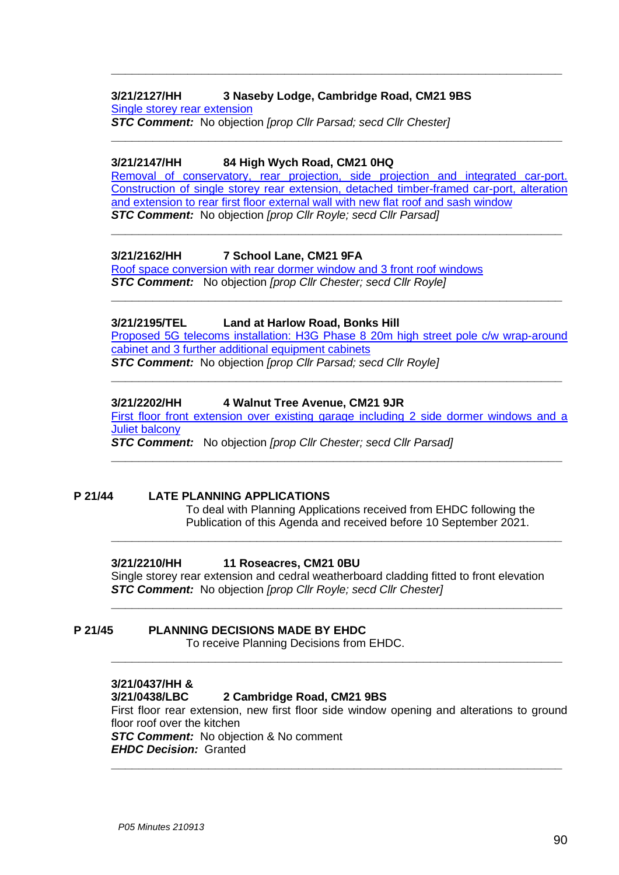#### **3/21/2127/HH 3 Naseby Lodge, Cambridge Road, CM21 9BS** [Single storey rear extension](https://publicaccess.eastherts.gov.uk/online-applications/applicationDetails.do?activeTab=documents&keyVal=QXOKGOGLGJI00)

*STC Comment:* No objection *[prop Cllr Parsad; secd Cllr Chester]*

#### **3/21/2147/HH 84 High Wych Road, CM21 0HQ**

[Removal of conservatory, rear projection, side projection and integrated car-port.](https://publicaccess.eastherts.gov.uk/online-applications/applicationDetails.do?activeTab=documents&keyVal=QXU4EEGLGL200)  [Construction of single storey rear extension,](https://publicaccess.eastherts.gov.uk/online-applications/applicationDetails.do?activeTab=documents&keyVal=QXU4EEGLGL200) detached timber-framed car-port, alteration [and extension to rear first floor external wall with new flat roof and sash window](https://publicaccess.eastherts.gov.uk/online-applications/applicationDetails.do?activeTab=documents&keyVal=QXU4EEGLGL200) *STC Comment:* No objection *[prop Cllr Royle; secd Cllr Parsad]*

**\_\_\_\_\_\_\_\_\_\_\_\_\_\_\_\_\_\_\_\_\_\_\_\_\_\_\_\_\_\_\_\_\_\_\_\_\_\_\_\_\_\_\_\_\_\_\_\_\_\_\_\_\_\_\_\_\_\_\_\_\_\_\_\_\_**

**\_\_\_\_\_\_\_\_\_\_\_\_\_\_\_\_\_\_\_\_\_\_\_\_\_\_\_\_\_\_\_\_\_\_\_\_\_\_\_\_\_\_\_\_\_\_\_\_\_\_\_\_\_\_\_\_\_\_\_\_\_\_\_\_\_**

**\_\_\_\_\_\_\_\_\_\_\_\_\_\_\_\_\_\_\_\_\_\_\_\_\_\_\_\_\_\_\_\_\_\_\_\_\_\_\_\_\_\_\_\_\_\_\_\_\_\_\_\_\_\_\_\_\_\_\_\_\_\_\_\_\_**

**\_\_\_\_\_\_\_\_\_\_\_\_\_\_\_\_\_\_\_\_\_\_\_\_\_\_\_\_\_\_\_\_\_\_\_\_\_\_\_\_\_\_\_\_\_\_\_\_\_\_\_\_\_\_\_\_\_\_\_\_\_\_\_\_\_**

#### **3/21/2162/HH 7 School Lane, CM21 9FA**

[Roof space conversion with rear dormer window and 3 front roof windows](https://publicaccess.eastherts.gov.uk/online-applications/applicationDetails.do?activeTab=documents&keyVal=QXZD98GLGM200) *STC Comment:* No objection *[prop Cllr Chester; secd Cllr Royle]*

#### **3/21/2195/TEL Land at Harlow Road, Bonks Hill**

[Proposed 5G telecoms installation: H3G Phase 8 20m high](https://publicaccess.eastherts.gov.uk/online-applications/applicationDetails.do?activeTab=documents&keyVal=QY4X8TGLGOH00) street pole c/w wrap-around cabinet [and 3 further additional equipment cabinets](https://publicaccess.eastherts.gov.uk/online-applications/applicationDetails.do?activeTab=documents&keyVal=QY4X8TGLGOH00) *STC Comment:* No objection *[prop Cllr Parsad; secd Cllr Royle]*

**\_\_\_\_\_\_\_\_\_\_\_\_\_\_\_\_\_\_\_\_\_\_\_\_\_\_\_\_\_\_\_\_\_\_\_\_\_\_\_\_\_\_\_\_\_\_\_\_\_\_\_\_\_\_\_\_\_\_\_\_\_\_\_\_\_**

#### **3/21/2202/HH 4 Walnut Tree Avenue, CM21 9JR**

[First floor front extension over existing garage including 2 side dormer windows and](https://publicaccess.eastherts.gov.uk/online-applications/applicationDetails.do?activeTab=documents&keyVal=QY732JGLGP000) a Juliet [balcony](https://publicaccess.eastherts.gov.uk/online-applications/applicationDetails.do?activeTab=documents&keyVal=QY732JGLGP000)

**\_\_\_\_\_\_\_\_\_\_\_\_\_\_\_\_\_\_\_\_\_\_\_\_\_\_\_\_\_\_\_\_\_\_\_\_\_\_\_\_\_\_\_\_\_\_\_\_\_\_\_\_\_\_\_\_\_\_\_\_\_\_\_\_\_**

**\_\_\_\_\_\_\_\_\_\_\_\_\_\_\_\_\_\_\_\_\_\_\_\_\_\_\_\_\_\_\_\_\_\_\_\_\_\_\_\_\_\_\_\_\_\_\_\_\_\_\_\_\_\_\_\_\_\_\_\_\_\_\_\_\_**

*STC Comment:* No objection *[prop Cllr Chester; secd Cllr Parsad]*

#### **P 21/44 LATE PLANNING APPLICATIONS**

To deal with Planning Applications received from EHDC following the Publication of this Agenda and received before 10 September 2021.

#### **3/21/2210/HH 11 Roseacres, CM21 0BU**

Single storey rear extension and cedral weatherboard cladding fitted to front elevation *STC Comment:* No objection *[prop Cllr Royle; secd Cllr Chester]*

**\_\_\_\_\_\_\_\_\_\_\_\_\_\_\_\_\_\_\_\_\_\_\_\_\_\_\_\_\_\_\_\_\_\_\_\_\_\_\_\_\_\_\_\_\_\_\_\_\_\_\_\_\_\_\_\_\_\_\_\_\_\_\_\_\_**

**\_\_\_\_\_\_\_\_\_\_\_\_\_\_\_\_\_\_\_\_\_\_\_\_\_\_\_\_\_\_\_\_\_\_\_\_\_\_\_\_\_\_\_\_\_\_\_\_\_\_\_\_\_\_\_\_\_\_\_\_\_\_\_\_\_**

#### **P 21/45 PLANNING DECISIONS MADE BY EHDC**

To receive Planning Decisions from EHDC.

#### **3/21/0437/HH &**

#### **3/21/0438/LBC 2 Cambridge Road, CM21 9BS**

First floor rear extension, new first floor side window opening and alterations to ground floor roof over the kitchen

**\_\_\_\_\_\_\_\_\_\_\_\_\_\_\_\_\_\_\_\_\_\_\_\_\_\_\_\_\_\_\_\_\_\_\_\_\_\_\_\_\_\_\_\_\_\_\_\_\_\_\_\_\_\_\_\_\_\_\_\_\_\_\_\_\_**

*STC Comment:* No objection & No comment

*EHDC Decision:* Granted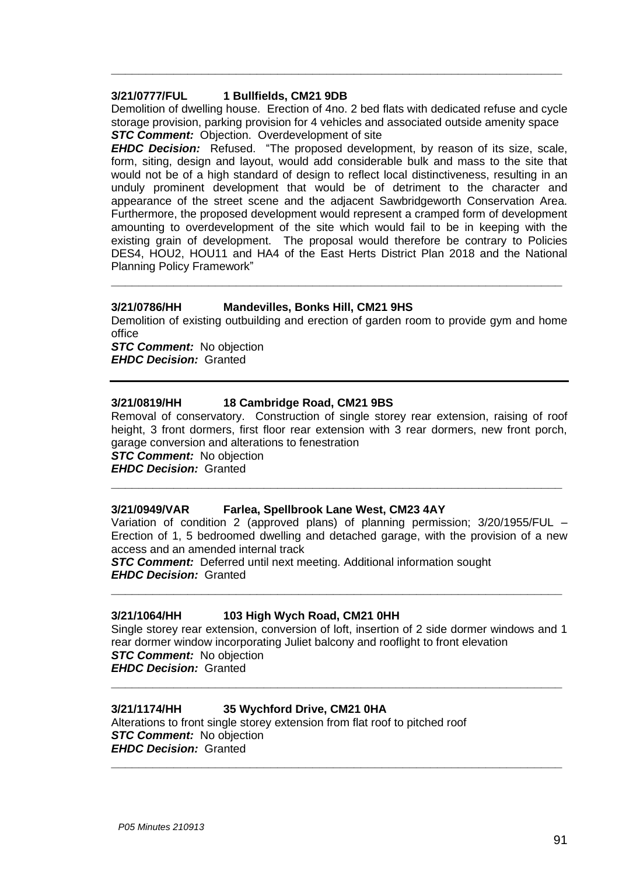#### **3/21/0777/FUL 1 Bullfields, CM21 9DB**

Demolition of dwelling house. Erection of 4no. 2 bed flats with dedicated refuse and cycle storage provision, parking provision for 4 vehicles and associated outside amenity space **STC Comment:** Objection. Overdevelopment of site

**\_\_\_\_\_\_\_\_\_\_\_\_\_\_\_\_\_\_\_\_\_\_\_\_\_\_\_\_\_\_\_\_\_\_\_\_\_\_\_\_\_\_\_\_\_\_\_\_\_\_\_\_\_\_\_\_\_\_\_\_\_\_\_\_\_**

*EHDC Decision:* Refused. "The proposed development, by reason of its size, scale, form, siting, design and layout, would add considerable bulk and mass to the site that would not be of a high standard of design to reflect local distinctiveness, resulting in an unduly prominent development that would be of detriment to the character and appearance of the street scene and the adjacent Sawbridgeworth Conservation Area. Furthermore, the proposed development would represent a cramped form of development amounting to overdevelopment of the site which would fail to be in keeping with the existing grain of development. The proposal would therefore be contrary to Policies DES4, HOU2, HOU11 and HA4 of the East Herts District Plan 2018 and the National Planning Policy Framework"

#### **3/21/0786/HH Mandevilles, Bonks Hill, CM21 9HS**

Demolition of existing outbuilding and erection of garden room to provide gym and home office

**\_\_\_\_\_\_\_\_\_\_\_\_\_\_\_\_\_\_\_\_\_\_\_\_\_\_\_\_\_\_\_\_\_\_\_\_\_\_\_\_\_\_\_\_\_\_\_\_\_\_\_\_\_\_\_\_\_\_\_\_\_\_\_\_\_**

*STC Comment:* No objection *EHDC Decision:* Granted

#### **3/21/0819/HH 18 Cambridge Road, CM21 9BS**

Removal of conservatory. Construction of single storey rear extension, raising of roof height, 3 front dormers, first floor rear extension with 3 rear dormers, new front porch, garage conversion and alterations to fenestration

*STC Comment:* No objection

*EHDC Decision:* Granted **\_\_\_\_\_\_\_\_\_\_\_\_\_\_\_\_\_\_\_\_\_\_\_\_\_\_\_\_\_\_\_\_\_\_\_\_\_\_\_\_\_\_\_\_\_\_\_\_\_\_\_\_\_\_\_\_\_\_\_\_\_\_\_\_\_**

#### **3/21/0949/VAR Farlea, Spellbrook Lane West, CM23 4AY**

Variation of condition 2 (approved plans) of planning permission; 3/20/1955/FUL – Erection of 1, 5 bedroomed dwelling and detached garage, with the provision of a new access and an amended internal track

**\_\_\_\_\_\_\_\_\_\_\_\_\_\_\_\_\_\_\_\_\_\_\_\_\_\_\_\_\_\_\_\_\_\_\_\_\_\_\_\_\_\_\_\_\_\_\_\_\_\_\_\_\_\_\_\_\_\_\_\_\_\_\_\_\_**

*STC Comment:* Deferred until next meeting. Additional information sought *EHDC Decision:* Granted

#### **3/21/1064/HH 103 High Wych Road, CM21 0HH**

Single storey rear extension, conversion of loft, insertion of 2 side dormer windows and 1 rear dormer window incorporating Juliet balcony and rooflight to front elevation *STC Comment:* No objection *EHDC Decision:* Granted

**\_\_\_\_\_\_\_\_\_\_\_\_\_\_\_\_\_\_\_\_\_\_\_\_\_\_\_\_\_\_\_\_\_\_\_\_\_\_\_\_\_\_\_\_\_\_\_\_\_\_\_\_\_\_\_\_\_\_\_\_\_\_\_\_\_**

**\_\_\_\_\_\_\_\_\_\_\_\_\_\_\_\_\_\_\_\_\_\_\_\_\_\_\_\_\_\_\_\_\_\_\_\_\_\_\_\_\_\_\_\_\_\_\_\_\_\_\_\_\_\_\_\_\_\_\_\_\_\_\_\_\_**

#### **3/21/1174/HH 35 Wychford Drive, CM21 0HA**

Alterations to front single storey extension from flat roof to pitched roof *STC Comment:* No objection *EHDC Decision:* Granted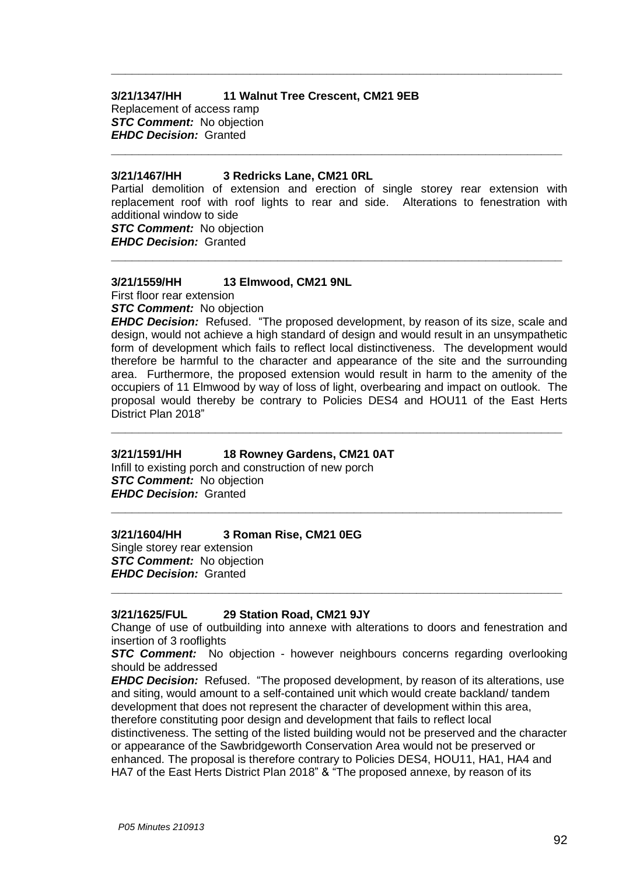#### **3/21/1347/HH 11 Walnut Tree Crescent, CM21 9EB**

Replacement of access ramp *STC Comment:* No objection *EHDC Decision:* Granted

#### **3/21/1467/HH 3 Redricks Lane, CM21 0RL**

Partial demolition of extension and erection of single storey rear extension with replacement roof with roof lights to rear and side. Alterations to fenestration with additional window to side

**\_\_\_\_\_\_\_\_\_\_\_\_\_\_\_\_\_\_\_\_\_\_\_\_\_\_\_\_\_\_\_\_\_\_\_\_\_\_\_\_\_\_\_\_\_\_\_\_\_\_\_\_\_\_\_\_\_\_\_\_\_\_\_\_\_**

**\_\_\_\_\_\_\_\_\_\_\_\_\_\_\_\_\_\_\_\_\_\_\_\_\_\_\_\_\_\_\_\_\_\_\_\_\_\_\_\_\_\_\_\_\_\_\_\_\_\_\_\_\_\_\_\_\_\_\_\_\_\_\_\_\_**

**\_\_\_\_\_\_\_\_\_\_\_\_\_\_\_\_\_\_\_\_\_\_\_\_\_\_\_\_\_\_\_\_\_\_\_\_\_\_\_\_\_\_\_\_\_\_\_\_\_\_\_\_\_\_\_\_\_\_\_\_\_\_\_\_\_**

*STC Comment:* No objection *EHDC Decision:* Granted

# **3/21/1559/HH 13 Elmwood, CM21 9NL**

First floor rear extension

*STC Comment:* No objection

*EHDC Decision:* Refused. "The proposed development, by reason of its size, scale and design, would not achieve a high standard of design and would result in an unsympathetic form of development which fails to reflect local distinctiveness. The development would therefore be harmful to the character and appearance of the site and the surrounding area. Furthermore, the proposed extension would result in harm to the amenity of the occupiers of 11 Elmwood by way of loss of light, overbearing and impact on outlook. The proposal would thereby be contrary to Policies DES4 and HOU11 of the East Herts District Plan 2018"

**\_\_\_\_\_\_\_\_\_\_\_\_\_\_\_\_\_\_\_\_\_\_\_\_\_\_\_\_\_\_\_\_\_\_\_\_\_\_\_\_\_\_\_\_\_\_\_\_\_\_\_\_\_\_\_\_\_\_\_\_\_\_\_\_\_**

**\_\_\_\_\_\_\_\_\_\_\_\_\_\_\_\_\_\_\_\_\_\_\_\_\_\_\_\_\_\_\_\_\_\_\_\_\_\_\_\_\_\_\_\_\_\_\_\_\_\_\_\_\_\_\_\_\_\_\_\_\_\_\_\_\_**

#### **3/21/1591/HH 18 Rowney Gardens, CM21 0AT**

Infill to existing porch and construction of new porch *STC Comment:* No objection *EHDC Decision:* Granted

#### **3/21/1604/HH 3 Roman Rise, CM21 0EG**

Single storey rear extension *STC Comment:* No objection *EHDC Decision:* Granted

#### **3/21/1625/FUL 29 Station Road, CM21 9JY**

Change of use of outbuilding into annexe with alterations to doors and fenestration and insertion of 3 rooflights

**\_\_\_\_\_\_\_\_\_\_\_\_\_\_\_\_\_\_\_\_\_\_\_\_\_\_\_\_\_\_\_\_\_\_\_\_\_\_\_\_\_\_\_\_\_\_\_\_\_\_\_\_\_\_\_\_\_\_\_\_\_\_\_\_\_**

*STC Comment:* No objection - however neighbours concerns regarding overlooking should be addressed

*EHDC Decision:* Refused. "The proposed development, by reason of its alterations, use and siting, would amount to a self-contained unit which would create backland/ tandem development that does not represent the character of development within this area, therefore constituting poor design and development that fails to reflect local distinctiveness. The setting of the listed building would not be preserved and the character or appearance of the Sawbridgeworth Conservation Area would not be preserved or enhanced. The proposal is therefore contrary to Policies DES4, HOU11, HA1, HA4 and HA7 of the East Herts District Plan 2018" & "The proposed annexe, by reason of its